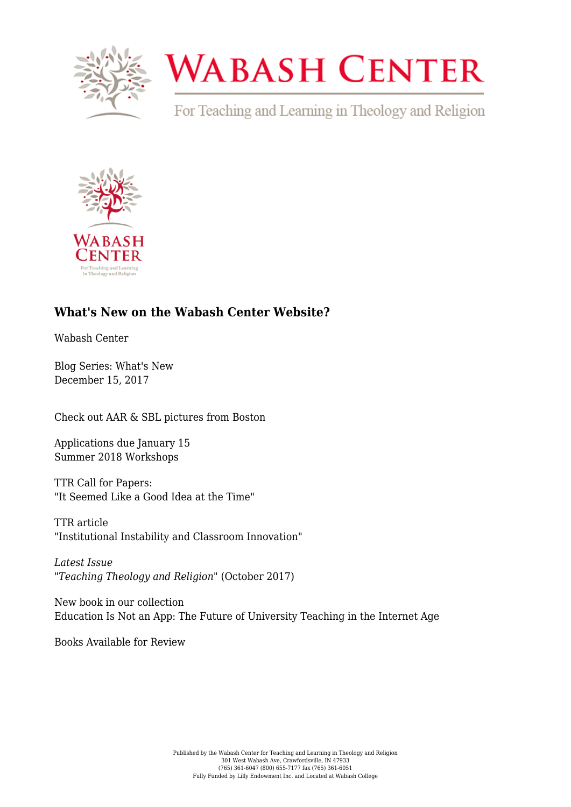

## **WABASH CENTER**

For Teaching and Learning in Theology and Religion



## **[What's New on the Wabash Center Website?](https://www.wabashcenter.wabash.edu/2017/12/whats-new-wabash-center-website-2/)**

Wabash Center

Blog Series: What's New December 15, 2017

[Check out AAR & SBL pictures from Boston](https://flic.kr/s/aHskszbRCo)

[Applications due January 15](https://www.wabashcenter.wabash.edu/programs/workshops/) [Summer 2018 Workshops](https://www.wabashcenter.wabash.edu/programs/workshops/)

[TTR Call for Papers:](https://www.wabashcenter.wabash.edu/resources/ttr/write-for-the-journal/call-for-papers/cfp-learning-from-failure/) ["It Seemed Like a Good Idea at the Time"](https://www.wabashcenter.wabash.edu/resources/ttr/write-for-the-journal/call-for-papers/cfp-learning-from-failure/)

[TTR article](http://onlinelibrary.wiley.com/doi/10.1111/teth.12407/full) ["Institutional Instability and Classroom Innovation"](http://onlinelibrary.wiley.com/doi/10.1111/teth.12407/full)

*[Latest Issue](https://www.wabashcenter.wabash.edu/resources/ttr/read-the-journal/current-issue/) ["Teaching Theology and Religion"](https://www.wabashcenter.wabash.edu/resources/ttr/read-the-journal/current-issue/)* [\(October 2017\)](https://www.wabashcenter.wabash.edu/resources/ttr/read-the-journal/current-issue/)

[New book in our collection](https://www.wabashcenter.wabash.edu/selected-resources/?post_ids=212259) [Education Is Not an App: The Future of University Teaching in the Internet Age](https://www.wabashcenter.wabash.edu/selected-resources/?post_ids=212259)

Books Available for Review